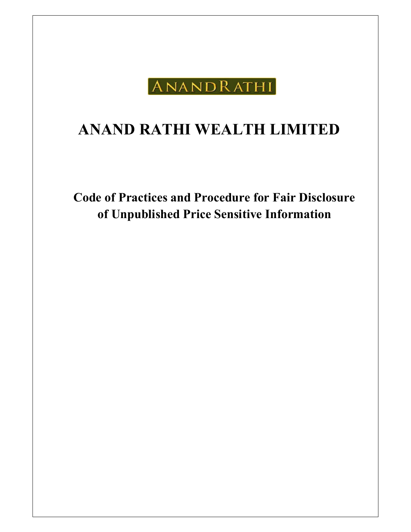

# ANAND RATHI WEALTH LIMITED

Code of Practices and Procedure for Fair Disclosure of Unpublished Price Sensitive Information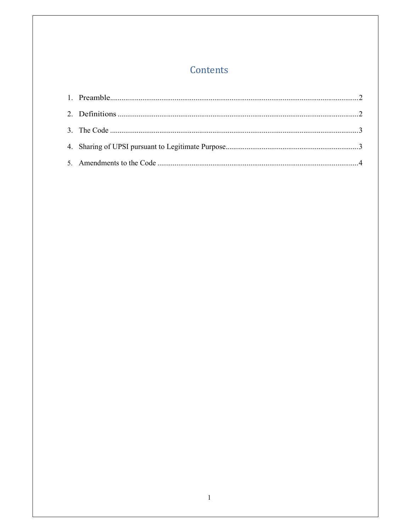## Contents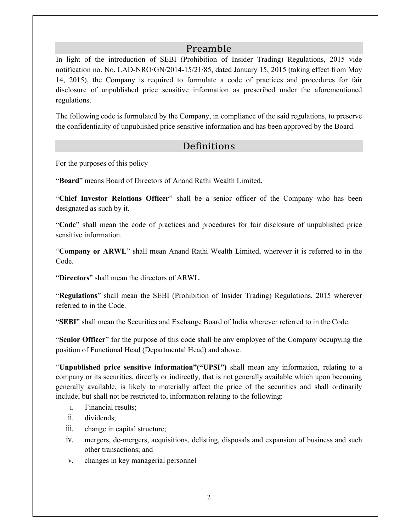#### Preamble

In light of the introduction of SEBI (Prohibition of Insider Trading) Regulations, 2015 vide notification no. No. LAD-NRO/GN/2014-15/21/85, dated January 15, 2015 (taking effect from May 14, 2015), the Company is required to formulate a code of practices and procedures for fair disclosure of unpublished price sensitive information as prescribed under the aforementioned regulations.

The following code is formulated by the Company, in compliance of the said regulations, to preserve the confidentiality of unpublished price sensitive information and has been approved by the Board.

#### Definitions

For the purposes of this policy

"Board" means Board of Directors of Anand Rathi Wealth Limited.

"Chief Investor Relations Officer" shall be a senior officer of the Company who has been designated as such by it.

"Code" shall mean the code of practices and procedures for fair disclosure of unpublished price sensitive information.

"Company or ARWL" shall mean Anand Rathi Wealth Limited, wherever it is referred to in the Code.

"Directors" shall mean the directors of ARWL.

"Regulations" shall mean the SEBI (Prohibition of Insider Trading) Regulations, 2015 wherever referred to in the Code.

"SEBI" shall mean the Securities and Exchange Board of India wherever referred to in the Code.

"Senior Officer" for the purpose of this code shall be any employee of the Company occupying the position of Functional Head (Departmental Head) and above.

"Unpublished price sensitive information"("UPSI") shall mean any information, relating to a company or its securities, directly or indirectly, that is not generally available which upon becoming generally available, is likely to materially affect the price of the securities and shall ordinarily include, but shall not be restricted to, information relating to the following:

- i. Financial results;
- ii. dividends;
- iii. change in capital structure;
- iv. mergers, de-mergers, acquisitions, delisting, disposals and expansion of business and such other transactions; and
- v. changes in key managerial personnel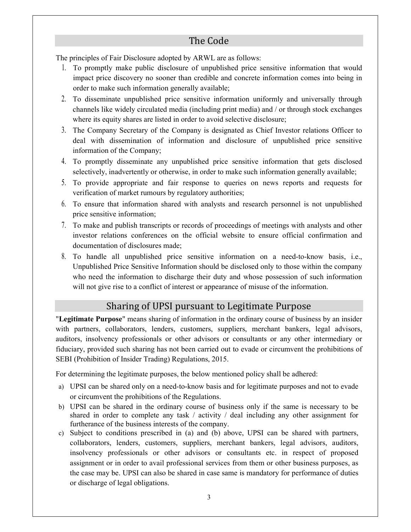#### The Code

The principles of Fair Disclosure adopted by ARWL are as follows:

- 1. To promptly make public disclosure of unpublished price sensitive information that would impact price discovery no sooner than credible and concrete information comes into being in order to make such information generally available;
- 2. To disseminate unpublished price sensitive information uniformly and universally through channels like widely circulated media (including print media) and / or through stock exchanges where its equity shares are listed in order to avoid selective disclosure;
- 3. The Company Secretary of the Company is designated as Chief Investor relations Officer to deal with dissemination of information and disclosure of unpublished price sensitive information of the Company;
- 4. To promptly disseminate any unpublished price sensitive information that gets disclosed selectively, inadvertently or otherwise, in order to make such information generally available;
- 5. To provide appropriate and fair response to queries on news reports and requests for verification of market rumours by regulatory authorities;
- 6. To ensure that information shared with analysts and research personnel is not unpublished price sensitive information;
- 7. To make and publish transcripts or records of proceedings of meetings with analysts and other investor relations conferences on the official website to ensure official confirmation and documentation of disclosures made;
- 8. To handle all unpublished price sensitive information on a need-to-know basis, i.e., Unpublished Price Sensitive Information should be disclosed only to those within the company who need the information to discharge their duty and whose possession of such information will not give rise to a conflict of interest or appearance of misuse of the information.

### Sharing of UPSI pursuant to Legitimate Purpose

"Legitimate Purpose" means sharing of information in the ordinary course of business by an insider with partners, collaborators, lenders, customers, suppliers, merchant bankers, legal advisors, auditors, insolvency professionals or other advisors or consultants or any other intermediary or fiduciary, provided such sharing has not been carried out to evade or circumvent the prohibitions of SEBI (Prohibition of Insider Trading) Regulations, 2015.

For determining the legitimate purposes, the below mentioned policy shall be adhered:

- a) UPSI can be shared only on a need-to-know basis and for legitimate purposes and not to evade or circumvent the prohibitions of the Regulations.
- b) UPSI can be shared in the ordinary course of business only if the same is necessary to be shared in order to complete any task / activity / deal including any other assignment for furtherance of the business interests of the company.
- c) Subject to conditions prescribed in (a) and (b) above, UPSI can be shared with partners, collaborators, lenders, customers, suppliers, merchant bankers, legal advisors, auditors, insolvency professionals or other advisors or consultants etc. in respect of proposed assignment or in order to avail professional services from them or other business purposes, as the case may be. UPSI can also be shared in case same is mandatory for performance of duties or discharge of legal obligations.